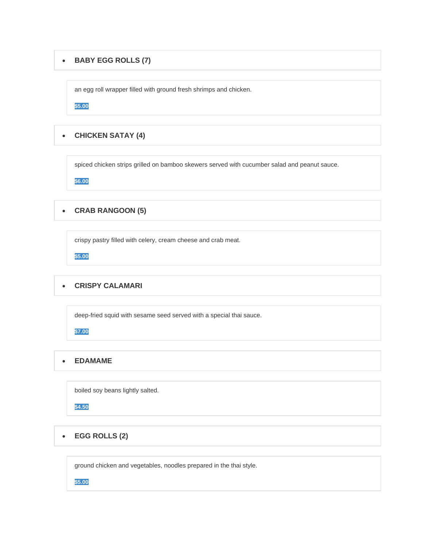#### • **BABY EGG ROLLS (7)**

an egg roll wrapper filled with ground fresh shrimps and chicken.

**\$5.00**

# • **CHICKEN SATAY (4)**

spiced chicken strips grilled on bamboo skewers served with cucumber salad and peanut sauce.

**\$6.00**

## • **CRAB RANGOON (5)**

crispy pastry filled with celery, cream cheese and crab meat.

**\$5.00**

# • **CRISPY CALAMARI**

deep-fried squid with sesame seed served with a special thai sauce.

**\$7.00**

## • **EDAMAME**

boiled soy beans lightly salted.

**\$4.50**

• **EGG ROLLS (2)**

ground chicken and vegetables, noodles prepared in the thai style.

**\$5.00**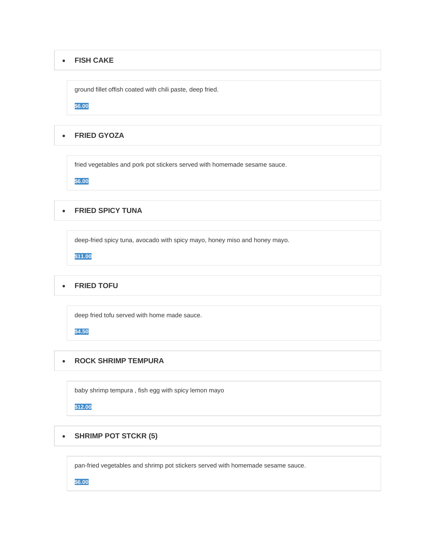#### • **FISH CAKE**

ground fillet offish coated with chili paste, deep fried.

**\$6.00**

## • **FRIED GYOZA**

fried vegetables and pork pot stickers served with homemade sesame sauce.

**\$6.00**

### • **FRIED SPICY TUNA**

deep-fried spicy tuna, avocado with spicy mayo, honey miso and honey mayo.

**\$11.00**

## • **FRIED TOFU**

deep fried tofu served with home made sauce.

**\$4.50**

#### • **ROCK SHRIMP TEMPURA**

baby shrimp tempura , fish egg with spicy lemon mayo

**\$12.00**

### • **SHRIMP POT STCKR (5)**

pan-fried vegetables and shrimp pot stickers served with homemade sesame sauce.

**\$6.00**